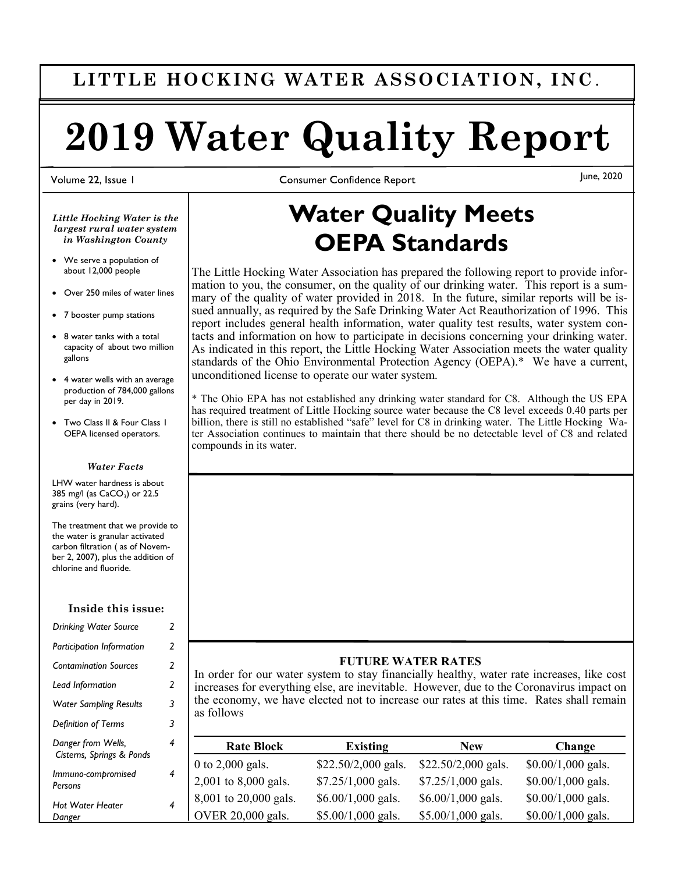# **LITTLE HOCKING WATER ASSOCIATION, INC** .

# **2019 Water Quality Report**

Volume 22, Issue 1

**Consumer Confidence Report** 

June, 2020

*Little Hocking Water is the largest rural water system in Washington County*

- We serve a population of about 12,000 people
- Over 250 miles of water lines
- 7 booster pump stations
- 8 water tanks with a total capacity of about two million gallons
- 4 water wells with an average production of 784,000 gallons per day in 2019.
- Two Class II & Four Class 1 OEPA licensed operators.

#### *Water Facts*

LHW water hardness is about 385 mg/l (as CaCO<sub>3</sub>) or 22.5 grains (very hard).

The treatment that we provide to the water is granular activated carbon filtration ( as of November 2, 2007), plus the addition of chlorine and fluoride.

#### **Inside this issue:**

| <b>Drinking Water Source</b>                    | 2              |
|-------------------------------------------------|----------------|
| Participation Information                       | $\overline{2}$ |
| <b>Contamination Sources</b>                    | 2              |
| Lead Information                                | 2              |
| <b>Water Sampling Results</b>                   | 3              |
| <b>Definition of Terms</b>                      | 3              |
| Danger from Wells,<br>Cisterns, Springs & Ponds | 4              |
| Immuno-compromised<br>Persons                   | 4              |
| Hot Water Heater<br>Danger                      | 4              |

*4*

*4*

# **Water Quality Meets OEPA Standards**

The Little Hocking Water Association has prepared the following report to provide information to you, the consumer, on the quality of our drinking water. This report is a summary of the quality of water provided in 2018. In the future, similar reports will be issued annually, as required by the Safe Drinking Water Act Reauthorization of 1996. This report includes general health information, water quality test results, water system contacts and information on how to participate in decisions concerning your drinking water. As indicated in this report, the Little Hocking Water Association meets the water quality standards of the Ohio Environmental Protection Agency (OEPA).\* We have a current, unconditioned license to operate our water system.

\* The Ohio EPA has not established any drinking water standard for C8. Although the US EPA has required treatment of Little Hocking source water because the C8 level exceeds 0.40 parts per billion, there is still no established "safe" level for C8 in drinking water. The Little Hocking Water Association continues to maintain that there should be no detectable level of C8 and related compounds in its water.

#### **FUTURE WATER RATES**

In order for our water system to stay financially healthy, water rate increases, like cost increases for everything else, are inevitable. However, due to the Coronavirus impact on the economy, we have elected not to increase our rates at this time. Rates shall remain as follows

| <b>Rate Block</b>         | Existing             | <b>New</b>           | Change              |
|---------------------------|----------------------|----------------------|---------------------|
| 0 to $2,000$ gals.        | $$22.50/2,000$ gals. | $$22.50/2,000$ gals. | $$0.00/1,000$ gals. |
| 2,001 to 8,000 gals.      | $$7.25/1,000$ gals.  | $$7.25/1,000$ gals.  | $$0.00/1,000$ gals. |
| 8,001 to 20,000 gals.     | $$6.00/1,000$ gals.  | $$6.00/1,000$ gals.  | \$0.00/1,000 gals.  |
| $\vert$ OVER 20,000 gals. | $$5.00/1,000$ gals.  | $$5.00/1,000$ gals.  | $$0.00/1,000$ gals. |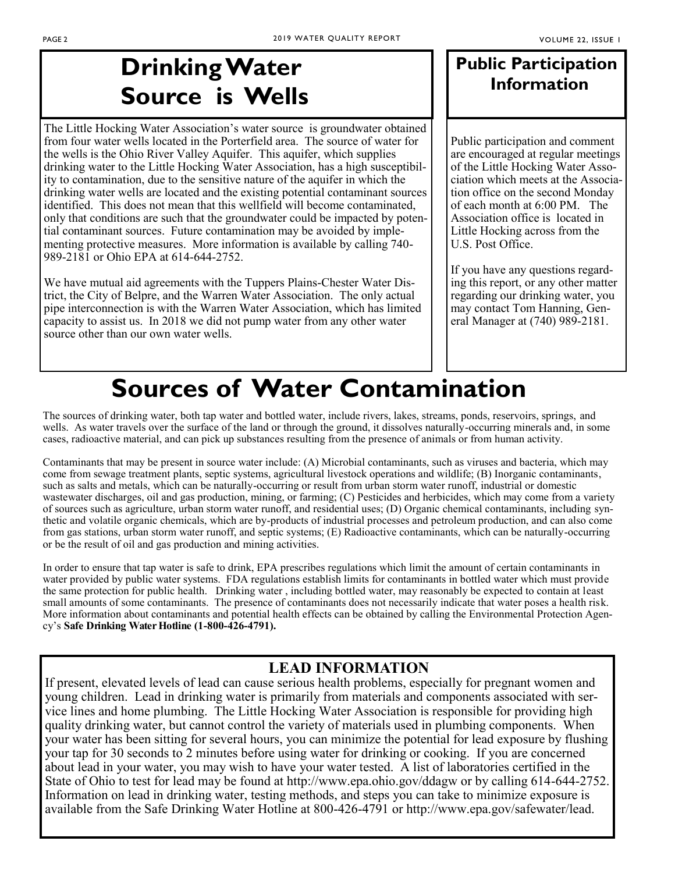# **Drinking Water Source is Wells**

The Little Hocking Water Association's water source is groundwater obtained from four water wells located in the Porterfield area. The source of water for the wells is the Ohio River Valley Aquifer. This aquifer, which supplies drinking water to the Little Hocking Water Association, has a high susceptibility to contamination, due to the sensitive nature of the aquifer in which the drinking water wells are located and the existing potential contaminant sources identified. This does not mean that this wellfield will become contaminated, only that conditions are such that the groundwater could be impacted by potential contaminant sources. Future contamination may be avoided by implementing protective measures. More information is available by calling 740- 989-2181 or Ohio EPA at 614-644-2752.

We have mutual aid agreements with the Tuppers Plains-Chester Water District, the City of Belpre, and the Warren Water Association. The only actual pipe interconnection is with the Warren Water Association, which has limited capacity to assist us. In 2018 we did not pump water from any other water source other than our own water wells.

# **Public Participation Information**

Public participation and comment are encouraged at regular meetings of the Little Hocking Water Association which meets at the Association office on the second Monday of each month at 6:00 PM. The Association office is located in Little Hocking across from the U.S. Post Office.

If you have any questions regarding this report, or any other matter regarding our drinking water, you may contact Tom Hanning, General Manager at (740) 989-2181.

# **Sources of Water Contamination**

The sources of drinking water, both tap water and bottled water, include rivers, lakes, streams, ponds, reservoirs, springs, and wells. As water travels over the surface of the land or through the ground, it dissolves naturally-occurring minerals and, in some cases, radioactive material, and can pick up substances resulting from the presence of animals or from human activity.

Contaminants that may be present in source water include: (A) Microbial contaminants, such as viruses and bacteria, which may come from sewage treatment plants, septic systems, agricultural livestock operations and wildlife; (B) Inorganic contaminants, such as salts and metals, which can be naturally-occurring or result from urban storm water runoff, industrial or domestic wastewater discharges, oil and gas production, mining, or farming; (C) Pesticides and herbicides, which may come from a variety of sources such as agriculture, urban storm water runoff, and residential uses; (D) Organic chemical contaminants, including synthetic and volatile organic chemicals, which are by-products of industrial processes and petroleum production, and can also come from gas stations, urban storm water runoff, and septic systems; (E) Radioactive contaminants, which can be naturally-occurring or be the result of oil and gas production and mining activities.

In order to ensure that tap water is safe to drink, EPA prescribes regulations which limit the amount of certain contaminants in water provided by public water systems. FDA regulations establish limits for contaminants in bottled water which must provide the same protection for public health. Drinking water , including bottled water, may reasonably be expected to contain at least small amounts of some contaminants. The presence of contaminants does not necessarily indicate that water poses a health risk. More information about contaminants and potential health effects can be obtained by calling the Environmental Protection Agency's **Safe Drinking Water Hotline (1-800-426-4791).**

## **LEAD INFORMATION**

If present, elevated levels of lead can cause serious health problems, especially for pregnant women and young children. Lead in drinking water is primarily from materials and components associated with service lines and home plumbing. The Little Hocking Water Association is responsible for providing high quality drinking water, but cannot control the variety of materials used in plumbing components. When your water has been sitting for several hours, you can minimize the potential for lead exposure by flushing your tap for 30 seconds to 2 minutes before using water for drinking or cooking. If you are concerned about lead in your water, you may wish to have your water tested. A list of laboratories certified in the State of Ohio to test for lead may be found at http://www.epa.ohio.gov/ddagw or by calling 614-644-2752. Information on lead in drinking water, testing methods, and steps you can take to minimize exposure is available from the Safe Drinking Water Hotline at 800-426-4791 or http://www.epa.gov/safewater/lead.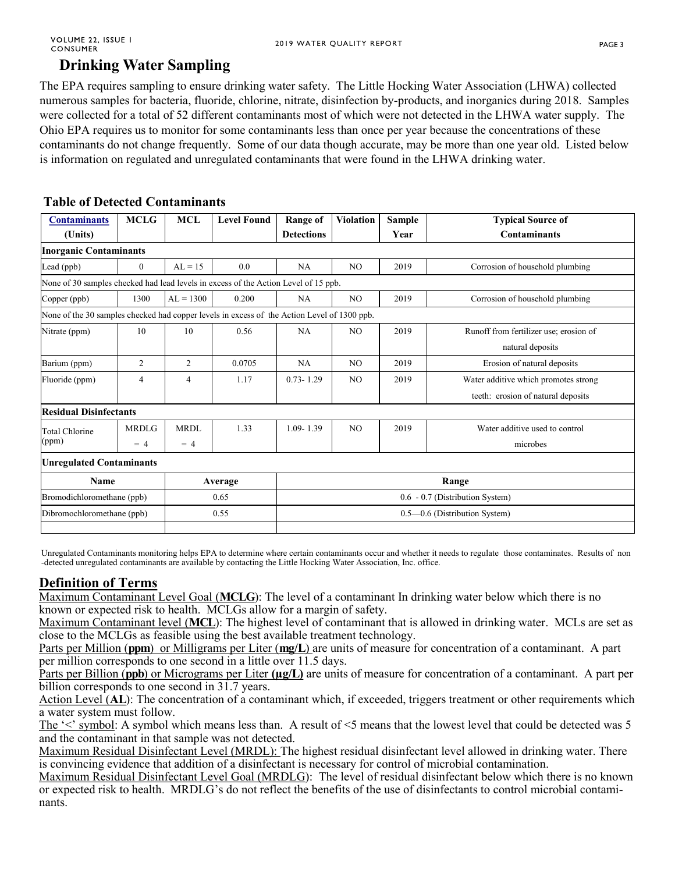## **Drinking Water Sampling**

The EPA requires sampling to ensure drinking water safety. The Little Hocking Water Association (LHWA) collected numerous samples for bacteria, fluoride, chlorine, nitrate, disinfection by-products, and inorganics during 2018. Samples were collected for a total of 52 different contaminants most of which were not detected in the LHWA water supply. The Ohio EPA requires us to monitor for some contaminants less than once per year because the concentrations of these contaminants do not change frequently. Some of our data though accurate, may be more than one year old. Listed below is information on regulated and unregulated contaminants that were found in the LHWA drinking water.

### **Table of Detected Contaminants**

| <b>Contaminants</b>                                                                         | <b>MCLG</b>    | <b>MCL</b>                      | <b>Level Found</b> | <b>Range of</b>               | <b>Violation</b> | <b>Sample</b> | <b>Typical Source of</b>               |  |  |  |
|---------------------------------------------------------------------------------------------|----------------|---------------------------------|--------------------|-------------------------------|------------------|---------------|----------------------------------------|--|--|--|
| (Units)                                                                                     |                |                                 |                    | <b>Detections</b>             |                  | Year          | <b>Contaminants</b>                    |  |  |  |
| <b>Inorganic Contaminants</b>                                                               |                |                                 |                    |                               |                  |               |                                        |  |  |  |
| Lead (ppb)                                                                                  | $\overline{0}$ | $AL = 15$                       | 0.0                | NA                            | N <sub>O</sub>   | 2019          | Corrosion of household plumbing        |  |  |  |
| None of 30 samples checked had lead levels in excess of the Action Level of 15 ppb.         |                |                                 |                    |                               |                  |               |                                        |  |  |  |
| Copper (ppb)                                                                                | 1300           | $AI = 1300$                     | 0.200              | NA                            | N <sub>O</sub>   | 2019          | Corrosion of household plumbing        |  |  |  |
| None of the 30 samples checked had copper levels in excess of the Action Level of 1300 ppb. |                |                                 |                    |                               |                  |               |                                        |  |  |  |
| Nitrate (ppm)                                                                               | 10             | 10                              | 0.56               | NA                            | N <sub>O</sub>   | 2019          | Runoff from fertilizer use; erosion of |  |  |  |
|                                                                                             |                |                                 |                    |                               |                  |               | natural deposits                       |  |  |  |
| Barium (ppm)                                                                                | 2              | 2                               | 0.0705             | NA                            | N <sub>O</sub>   | 2019          | Erosion of natural deposits            |  |  |  |
| Fluoride (ppm)                                                                              | $\overline{4}$ | $\overline{4}$                  | 1.17               | $0.73 - 1.29$                 | N <sub>O</sub>   | 2019          | Water additive which promotes strong   |  |  |  |
|                                                                                             |                |                                 |                    |                               |                  |               | teeth: erosion of natural deposits     |  |  |  |
| <b>Residual Disinfectants</b>                                                               |                |                                 |                    |                               |                  |               |                                        |  |  |  |
| <b>Total Chlorine</b><br>(ppm)                                                              | <b>MRDLG</b>   | <b>MRDL</b>                     | 1.33               | $1.09 - 1.39$                 | N <sub>O</sub>   | 2019          | Water additive used to control         |  |  |  |
|                                                                                             | $= 4$          | $= 4$                           |                    |                               |                  |               | microbes                               |  |  |  |
| <b>Unregulated Contaminants</b>                                                             |                |                                 |                    |                               |                  |               |                                        |  |  |  |
| Name                                                                                        |                | Average                         |                    | Range                         |                  |               |                                        |  |  |  |
| Bromodichloromethane (ppb)<br>0.65                                                          |                | 0.6 - 0.7 (Distribution System) |                    |                               |                  |               |                                        |  |  |  |
| Dibromochloromethane (ppb)                                                                  |                |                                 | 0.55               | 0.5-0.6 (Distribution System) |                  |               |                                        |  |  |  |
|                                                                                             |                |                                 |                    |                               |                  |               |                                        |  |  |  |

Unregulated Contaminants monitoring helps EPA to determine where certain contaminants occur and whether it needs to regulate those contaminates. Results of non -detected unregulated contaminants are available by contacting the Little Hocking Water Association, Inc. office.

### **Definition of Terms**

Maximum Contaminant Level Goal (**MCLG**): The level of a contaminant In drinking water below which there is no known or expected risk to health. MCLGs allow for a margin of safety.

Maximum Contaminant level (**MCL**): The highest level of contaminant that is allowed in drinking water. MCLs are set as close to the MCLGs as feasible using the best available treatment technology.

Parts per Million (**ppm**) or Milligrams per Liter (**mg/L**) are units of measure for concentration of a contaminant. A part per million corresponds to one second in a little over 11.5 days.

Parts per Billion (**ppb**) or Micrograms per Liter ( $\mu$ g/L) are units of measure for concentration of a contaminant. A part per billion corresponds to one second in 31.7 years.

Action Level (**AL**): The concentration of a contaminant which, if exceeded, triggers treatment or other requirements which a water system must follow.

The '<' symbol: A symbol which means less than. A result of <5 means that the lowest level that could be detected was 5 and the contaminant in that sample was not detected.

Maximum Residual Disinfectant Level (MRDL): The highest residual disinfectant level allowed in drinking water. There is convincing evidence that addition of a disinfectant is necessary for control of microbial contamination.

Maximum Residual Disinfectant Level Goal (MRDLG): The level of residual disinfectant below which there is no known or expected risk to health. MRDLG's do not reflect the benefits of the use of disinfectants to control microbial contaminants.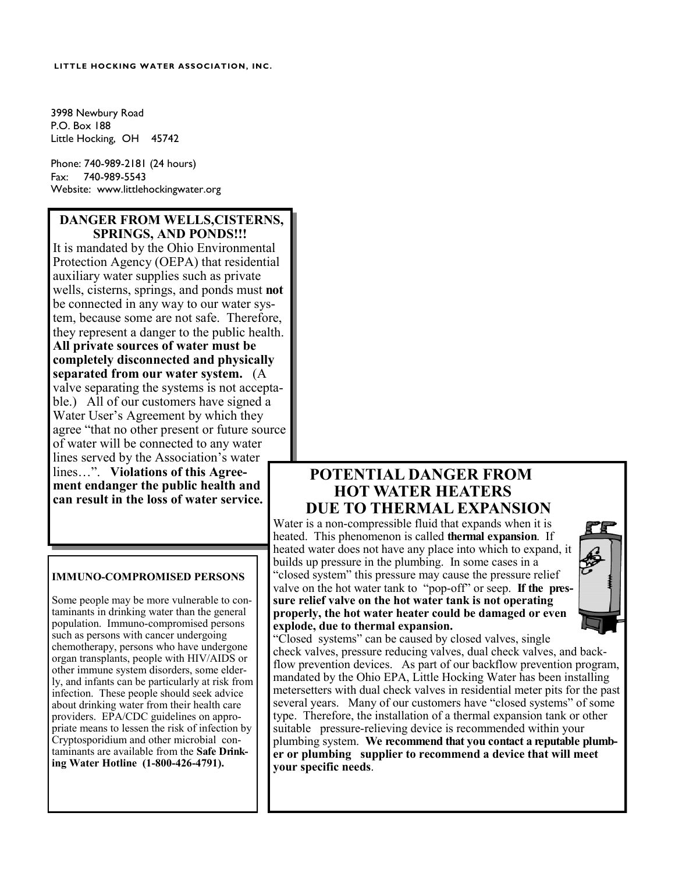#### **LITTLE HOCKING WATER ASSOCIATION, INC.**

3998 Newbury Road P.O. Box 188 Little Hocking, OH 45742

Phone: 740-989-2181 (24 hours) Fax: 740-989-5543 Website: www.littlehockingwater.org

#### **DANGER FROM WELLS,CISTERNS, SPRINGS, AND PONDS!!!**

It is mandated by the Ohio Environmental Protection Agency (OEPA) that residential auxiliary water supplies such as private wells, cisterns, springs, and ponds must **not** be connected in any way to our water system, because some are not safe. Therefore, they represent a danger to the public health. **All private sources of water must be completely disconnected and physically separated from our water system.** (A valve separating the systems is not acceptable.) All of our customers have signed a Water User's Agreement by which they agree "that no other present or future source of water will be connected to any water lines served by the Association's water lines…". **Violations of this Agreement endanger the public health and can result in the loss of water service.**

#### **IMMUNO-COMPROMISED PERSONS**

Some people may be more vulnerable to contaminants in drinking water than the general population. Immuno-compromised persons such as persons with cancer undergoing chemotherapy, persons who have undergone organ transplants, people with HIV/AIDS or other immune system disorders, some elderly, and infants can be particularly at risk from infection. These people should seek advice about drinking water from their health care providers. EPA/CDC guidelines on appropriate means to lessen the risk of infection by Cryptosporidium and other microbial contaminants are available from the **Safe Drinking Water Hotline (1-800-426-4791).**

### **POTENTIAL DANGER FROM HOT WATER HEATERS DUE TO THERMAL EXPANSION**

Water is a non-compressible fluid that expands when it is heated. This phenomenon is called **thermal expansion**. If heated water does not have any place into which to expand, it builds up pressure in the plumbing. In some cases in a "closed system" this pressure may cause the pressure relief valve on the hot water tank to "pop-off" or seep. **If the pressure relief valve on the hot water tank is not operating properly, the hot water heater could be damaged or even explode, due to thermal expansion.** 



"Closed systems" can be caused by closed valves, single check valves, pressure reducing valves, dual check valves, and backflow prevention devices. As part of our backflow prevention program, mandated by the Ohio EPA, Little Hocking Water has been installing metersetters with dual check valves in residential meter pits for the past several years. Many of our customers have "closed systems" of some type. Therefore, the installation of a thermal expansion tank or other suitable pressure-relieving device is recommended within your plumbing system. **We recommend that you contact a reputable plumber or plumbing supplier to recommend a device that will meet your specific needs**.